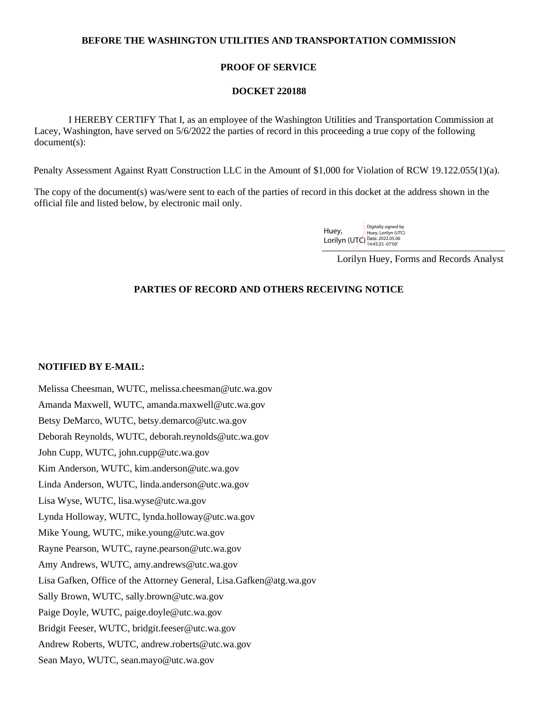## **BEFORE THE WASHINGTON UTILITIES AND TRANSPORTATION COMMISSION**

## **PROOF OF SERVICE**

#### **DOCKET 220188**

 I HEREBY CERTIFY That I, as an employee of the Washington Utilities and Transportation Commission at Lacey, Washington, have served on 5/6/2022 the parties of record in this proceeding a true copy of the following document(s):

Penalty Assessment Against Ryatt Construction LLC in the Amount of \$1,000 for Violation of RCW 19.122.055(1)(a).

The copy of the document(s) was/were sent to each of the parties of record in this docket at the address shown in the official file and listed below, by electronic mail only.

> Huey, Lorilyn (UTC) Date: 2022.05.06 Digitally signed by Huey, Lorilyn (UTC)

> > Lorilyn Huey, Forms and Records Analyst

# **PARTIES OF RECORD AND OTHERS RECEIVING NOTICE**

## **NOTIFIED BY E-MAIL:**

Melissa Cheesman, WUTC, melissa.cheesman@utc.wa.gov Amanda Maxwell, WUTC, amanda.maxwell@utc.wa.gov Betsy DeMarco, WUTC, betsy.demarco@utc.wa.gov Deborah Reynolds, WUTC, deborah.reynolds@utc.wa.gov John Cupp, WUTC, john.cupp@utc.wa.gov Kim Anderson, WUTC, kim.anderson@utc.wa.gov Linda Anderson, WUTC, linda.anderson@utc.wa.gov Lisa Wyse, WUTC, lisa.wyse@utc.wa.gov Lynda Holloway, WUTC, lynda.holloway@utc.wa.gov Mike Young, WUTC, mike.young@utc.wa.gov Rayne Pearson, WUTC, rayne.pearson@utc.wa.gov Amy Andrews, WUTC, amy.andrews@utc.wa.gov Lisa Gafken, Office of the Attorney General, Lisa.Gafken@atg.wa.gov Sally Brown, WUTC, sally.brown@utc.wa.gov Paige Doyle, WUTC, paige.doyle@utc.wa.gov Bridgit Feeser, WUTC, bridgit.feeser@utc.wa.gov Andrew Roberts, WUTC, andrew.roberts@utc.wa.gov Sean Mayo, WUTC, sean.mayo@utc.wa.gov